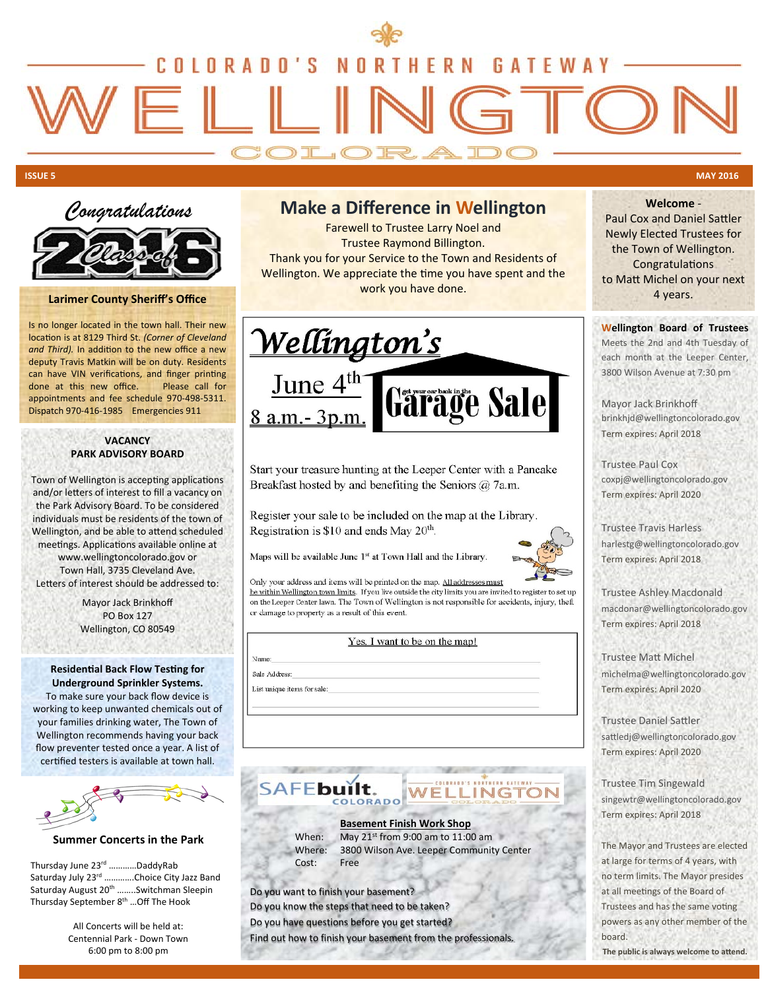



#### **Larimer County Sheriff's Office**

Is no longer located in the town hall. Their new location is at 8129 Third St. *(Corner of Cleveland* and Third). In addition to the new office a new deputy Travis Matkin will be on duty. Residents can have VIN verifications, and finger printing done at this new office. Please call for appointments and fee schedule 970-498-5311. Dispatch 970-416-1985 Emergencies 911

#### **VACANCY PARK ADVISORY BOARD**

Town of Wellington is accepting applications and/or letters of interest to fill a vacancy on the Park Advisory Board. To be considered individuals must be residents of the town of Wellington, and be able to attend scheduled meetings. Applications available online at www.wellingtoncolorado.gov or Town Hall, 3735 Cleveland Ave. Letters of interest should be addressed to:

> Mayor Jack Brinkhoff PO Box 127 Wellington, CO 80549

#### **Residential Back Flow Testing for Underground Sprinkler Systems.**

To make sure your back flow device is working to keep unwanted chemicals out of your families drinking water, The Town of Wellington recommends having your back flow preventer tested once a year. A list of certified testers is available at town hall.



#### **Summer Concerts in the Park**

Thursday June 23rd …………DaddyRab Saturday July 23rd ............Choice City Jazz Band Saturday August 20<sup>th</sup> ........Switchman Sleepin Thursday September 8<sup>th</sup> ... Off The Hook

> All Concerts will be held at: Centennial Park - Down Town 6:00 pm to 8:00 pm

## **Make a Difference in Wellington**

Farewell to Trustee Larry Noel and Trustee Raymond Billington. Thank you for your Service to the Town and Residents of Wellington. We appreciate the time you have spent and the work you have done.



Start your treasure hunting at the Leeper Center with a Pancake Breakfast hosted by and benefiting the Seniors  $\hat{a}$ , 7a.m.

Register your sale to be included on the map at the Library. Registration is \$10 and ends May 20<sup>th</sup>.

Maps will be available June 1st at Town Hall and the Library.



Only your address and items will be printed on the map. All addresses must be within Wellington town limits. If you live outside the city limits you are invited to register to set up on the Leeper Center lawn. The Town of Wellington is not responsible for accidents, injury, theft or damage to property as a result of this event.

Yes. I want to be on the map!

Sale Address:

Name:

List unique items for sale:

## í INGTOR

#### **Basement Finish Work Shop**

Cost: Free

When: May 21<sup>st</sup> from 9:00 am to 11:00 am Where: 3800 Wilson Ave. Leeper Community Center

Do you want to finish your basement? Do you know the steps that need to be taken? Do you have questions before you get started?

Find out how to finish your basement from the professionals.

# **Welcome** -

Paul Cox and Daniel Sattler Newly Elected Trustees for the Town of Wellington. **Congratulations** to Matt Michel on your next 4 years.

**Wellington Board of Trustees**

Meets the 2nd and 4th Tuesday of each month at the Leeper Center, 3800 Wilson Avenue at 7:30 pm

Mayor Jack Brinkhoff brinkhjd@wellingtoncolorado.gov Term expires: April 2018

Trustee Paul Cox coxpj@wellingtoncolorado.gov Term expires: April 2020

Trustee Travis Harless harlestg@wellingtoncolorado.gov Term expires: April 2018

Trustee Ashley Macdonald macdonar@wellingtoncolorado.gov Term expires: April 2018

Trustee MaƩ Michel michelma@wellingtoncolorado.gov Term expires: April 2020

Trustee Daniel SaƩler sattledj@wellingtoncolorado.gov Term expires: April 2020

Trustee Tim Singewald singewtr@wellingtoncolorado.gov Term expires: April 2018

The Mayor and Trustees are elected at large for terms of 4 years, with no term limits. The Mayor presides at all meetings of the Board of Trustees and has the same voting powers as any other member of the board.

The public is always welcome to attend.